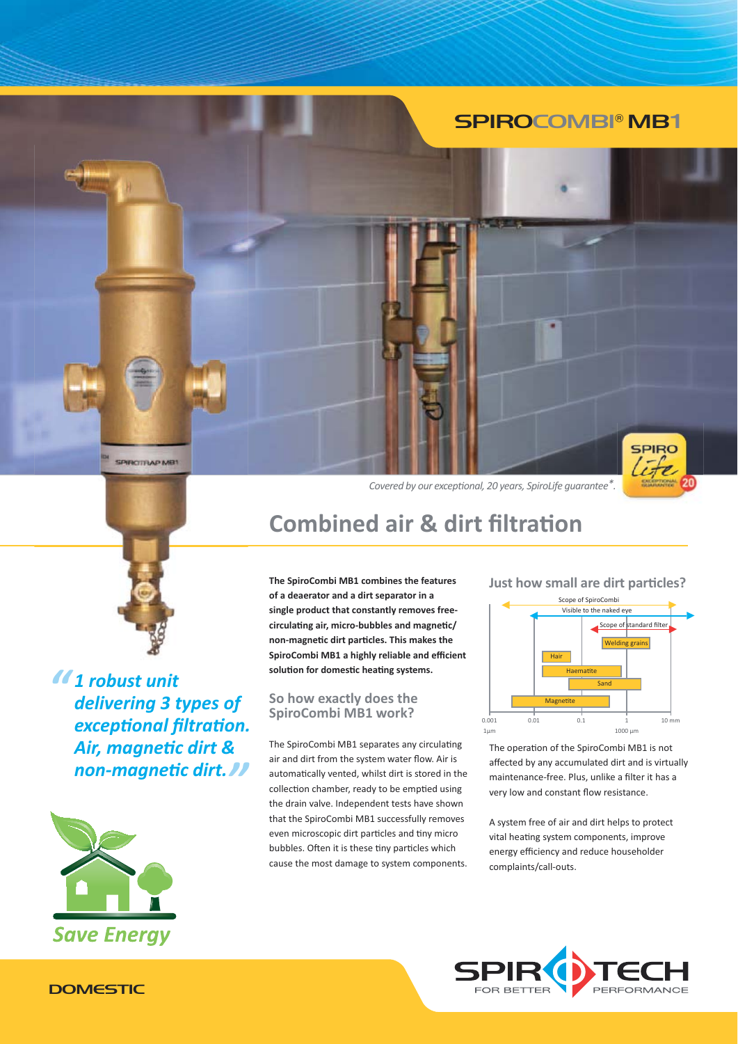## **SPIROCOMBI® MB1**



SPIRCITRAP MB1

11 robust unit delivering 3 types of exceptional filtration. Air, magnetic dirt & non-magnetic dirt. //



Covered by our exceptional, 20 years, SpiroLife guarantee\*.



## **Combined air & dirt filtration**

The SpiroCombi MB1 combines the features of a deaerator and a dirt separator in a single product that constantly removes freecirculating air, micro-bubbles and magnetic/ non-magnetic dirt particles. This makes the SpiroCombi MB1 a highly reliable and efficient solution for domestic heating systems.

### So how exactly does the SpiroCombi MB1 work?

The SpiroCombi MB1 separates any circulating air and dirt from the system water flow. Air is automatically vented, whilst dirt is stored in the collection chamber, ready to be emptied using the drain valve. Independent tests have shown that the SpiroCombi MB1 successfully removes even microscopic dirt particles and tiny micro bubbles. Often it is these tiny particles which cause the most damage to system components.

### Just how small are dirt particles?



The operation of the SpiroCombi MB1 is not affected by any accumulated dirt and is virtually maintenance-free. Plus, unlike a filter it has a very low and constant flow resistance.

A system free of air and dirt helps to protect vital heating system components, improve energy efficiency and reduce householder complaints/call-outs.



### **DOMESTIC**